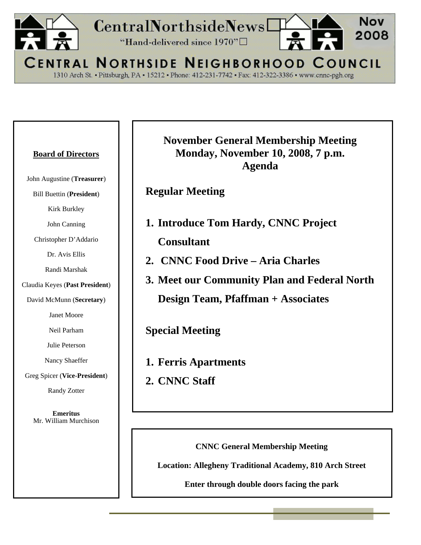

1310 Arch St. - Pittsburgh, PA - 15212 - Phone: 412-231-7742 - Fax: 412-322-3386 - www.cnnc-pgh.org

#### **Board of Directors**

John Augustine (**Treasurer**)

Bill Buettin (**President**)

Kirk Burkley

John Canning

Christopher D'Addario

Dr. Avis Ellis

Randi Marshak

Claudia Keyes (**Past President**)

David McMunn (**Secretary**)

Janet Moore

Neil Parham

Julie Peterson

Nancy Shaeffer

Greg Spicer (**Vice**-**President**)

Randy Zotter

**Emeritus**  Mr. William Murchison **November General Membership Meeting Monday, November 10, 2008, 7 p.m. Agenda** 

**Regular Meeting** 

- **1. Introduce Tom Hardy, CNNC Project Consultant**
- **2. CNNC Food Drive Aria Charles**
- **3. Meet our Community Plan and Federal North**

**Design Team, Pfaffman + Associates** 

**Special Meeting** 

**1. Ferris Apartments** 

**2. CNNC Staff** 

**CNNC General Membership Meeting** 

**Location: Allegheny Traditional Academy, 810 Arch Street** 

**Enter through double doors facing the park**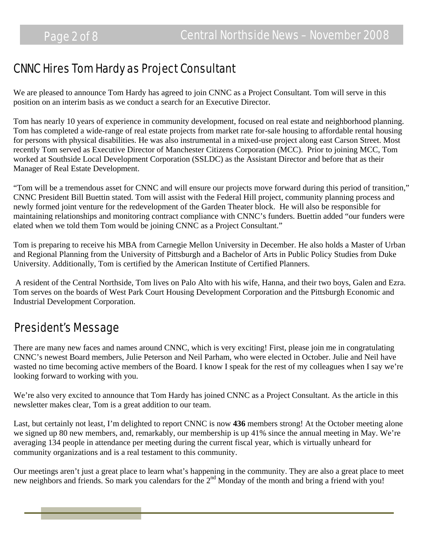### CNNC Hires Tom Hardy as Project Consultant

We are pleased to announce Tom Hardy has agreed to join CNNC as a Project Consultant. Tom will serve in this position on an interim basis as we conduct a search for an Executive Director.

Tom has nearly 10 years of experience in community development, focused on real estate and neighborhood planning. Tom has completed a wide-range of real estate projects from market rate for-sale housing to affordable rental housing for persons with physical disabilities. He was also instrumental in a mixed-use project along east Carson Street. Most recently Tom served as Executive Director of Manchester Citizens Corporation (MCC). Prior to joining MCC, Tom worked at Southside Local Development Corporation (SSLDC) as the Assistant Director and before that as their Manager of Real Estate Development.

"Tom will be a tremendous asset for CNNC and will ensure our projects move forward during this period of transition," CNNC President Bill Buettin stated. Tom will assist with the Federal Hill project, community planning process and newly formed joint venture for the redevelopment of the Garden Theater block. He will also be responsible for maintaining relationships and monitoring contract compliance with CNNC's funders. Buettin added "our funders were elated when we told them Tom would be joining CNNC as a Project Consultant."

Tom is preparing to receive his MBA from Carnegie Mellon University in December. He also holds a Master of Urban and Regional Planning from the University of Pittsburgh and a Bachelor of Arts in Public Policy Studies from Duke University. Additionally, Tom is certified by the American Institute of Certified Planners.

 A resident of the Central Northside, Tom lives on Palo Alto with his wife, Hanna, and their two boys, Galen and Ezra. Tom serves on the boards of West Park Court Housing Development Corporation and the Pittsburgh Economic and Industrial Development Corporation.

# President's Message

There are many new faces and names around CNNC, which is very exciting! First, please join me in congratulating CNNC's newest Board members, Julie Peterson and Neil Parham, who were elected in October. Julie and Neil have wasted no time becoming active members of the Board. I know I speak for the rest of my colleagues when I say we're looking forward to working with you.

We're also very excited to announce that Tom Hardy has joined CNNC as a Project Consultant. As the article in this newsletter makes clear, Tom is a great addition to our team.

Last, but certainly not least, I'm delighted to report CNNC is now **436** members strong! At the October meeting alone we signed up 80 new members, and, remarkably, our membership is up 41% since the annual meeting in May. We're averaging 134 people in attendance per meeting during the current fiscal year, which is virtually unheard for community organizations and is a real testament to this community.

Our meetings aren't just a great place to learn what's happening in the community. They are also a great place to meet new neighbors and friends. So mark you calendars for the 2<sup>nd</sup> Monday of the month and bring a friend with you!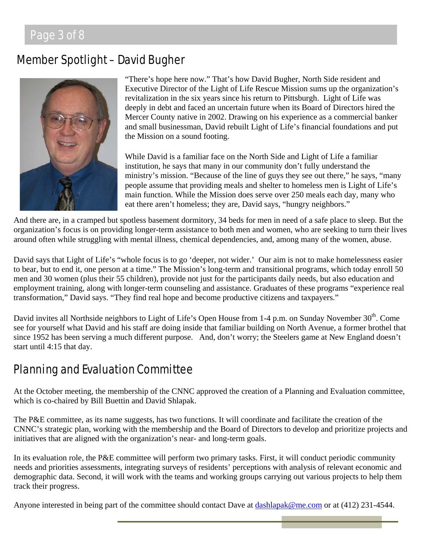### Page 3 of 8

### Member Spotlight – David Bugher



"There's hope here now." That's how David Bugher, North Side resident and Executive Director of the Light of Life Rescue Mission sums up the organization's revitalization in the six years since his return to Pittsburgh. Light of Life was deeply in debt and faced an uncertain future when its Board of Directors hired the Mercer County native in 2002. Drawing on his experience as a commercial banker and small businessman, David rebuilt Light of Life's financial foundations and put the Mission on a sound footing.

While David is a familiar face on the North Side and Light of Life a familiar institution, he says that many in our community don't fully understand the ministry's mission. "Because of the line of guys they see out there," he says, "many people assume that providing meals and shelter to homeless men is Light of Life's main function. While the Mission does serve over 250 meals each day, many who eat there aren't homeless; they are, David says, "hungry neighbors."

And there are, in a cramped but spotless basement dormitory, 34 beds for men in need of a safe place to sleep. But the organization's focus is on providing longer-term assistance to both men and women, who are seeking to turn their lives around often while struggling with mental illness, chemical dependencies, and, among many of the women, abuse.

David says that Light of Life's "whole focus is to go 'deeper, not wider.' Our aim is not to make homelessness easier to bear, but to end it, one person at a time." The Mission's long-term and transitional programs, which today enroll 50 men and 30 women (plus their 55 children), provide not just for the participants daily needs, but also education and employment training, along with longer-term counseling and assistance. Graduates of these programs "experience real transformation," David says. "They find real hope and become productive citizens and taxpayers."

David invites all Northside neighbors to Light of Life's Open House from 1-4 p.m. on Sunday November 30<sup>th</sup>. Come see for yourself what David and his staff are doing inside that familiar building on North Avenue, a former brothel that since 1952 has been serving a much different purpose. And, don't worry; the Steelers game at New England doesn't start until 4:15 that day.

# Planning and Evaluation Committee

At the October meeting, the membership of the CNNC approved the creation of a Planning and Evaluation committee, which is co-chaired by Bill Buettin and David Shlapak.

The P&E committee, as its name suggests, has two functions. It will coordinate and facilitate the creation of the CNNC's strategic plan, working with the membership and the Board of Directors to develop and prioritize projects and initiatives that are aligned with the organization's near- and long-term goals.

In its evaluation role, the P&E committee will perform two primary tasks. First, it will conduct periodic community needs and priorities assessments, integrating surveys of residents' perceptions with analysis of relevant economic and demographic data. Second, it will work with the teams and working groups carrying out various projects to help them track their progress.

Anyone interested in being part of the committee should contact Dave at [dashlapak@me.com](mailto:dashlapak@me.com) or at (412) 231-4544.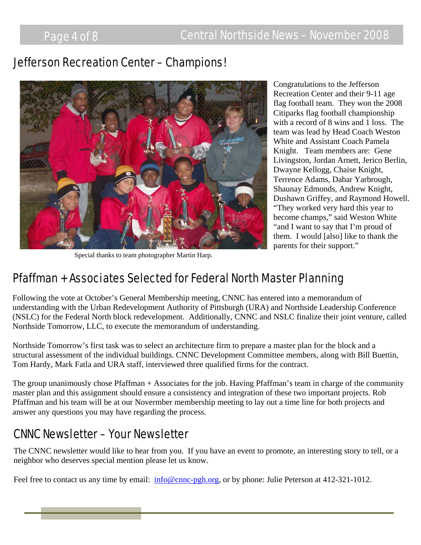### Jefferson Recreation Center – Champions!



Special thanks to team photographer Martin Harp.

Congratulations to the Jefferson Recreation Center and their 9-11 age flag football team. They won the 2008 Citiparks flag football championship with a record of 8 wins and 1 loss. The team was lead by Head Coach Weston White and Assistant Coach Pamela Knight. Team members are: Gene Livingston, Jordan Arnett, Jerico Berlin, Dwayne Kellogg, Chaise Knight, Terrence Adams, Dabar Yarbrough, Shaunay Edmonds, Andrew Knight, Dushawn Griffey, and Raymond Howell. "They worked very hard this year to become champs," said Weston White "and I want to say that I'm proud of them. I would [also] like to thank the parents for their support."

### Pfaffman + Associates Selected for Federal North Master Planning

Following the vote at October's General Membership meeting, CNNC has entered into a memorandum of understanding with the Urban Redevelopment Authority of Pittsburgh (URA) and Northside Leadership Conference (NSLC) for the Federal North block redevelopment. Additionally, CNNC and NSLC finalize their joint venture, called Northside Tomorrow, LLC, to execute the memorandum of understanding.

Northside Tomorrow's first task was to select an architecture firm to prepare a master plan for the block and a structural assessment of the individual buildings. CNNC Development Committee members, along with Bill Buettin, Tom Hardy, Mark Fatla and URA staff, interviewed three qualified firms for the contract.

The group unanimously chose Pfaffman + Associates for the job. Having Pfaffman's team in charge of the community master plan and this assignment should ensure a consistency and integration of these two important projects. Rob Pfaffman and his team will be at our Novermber membership meeting to lay out a time line for both projects and answer any questions you may have regarding the process.

### CNNC Newsletter – Your Newsletter

The CNNC newsletter would like to hear from you. If you have an event to promote, an interesting story to tell, or a neighbor who deserves special mention please let us know.

Feel free to contact us any time by email:  $\frac{info@cnnc-pgh.org}{info@cnnc-pgh.org}$  $\frac{info@cnnc-pgh.org}{info@cnnc-pgh.org}$  $\frac{info@cnnc-pgh.org}{info@cnnc-pgh.org}$ , or by phone: Julie Peterson at 412-321-1012.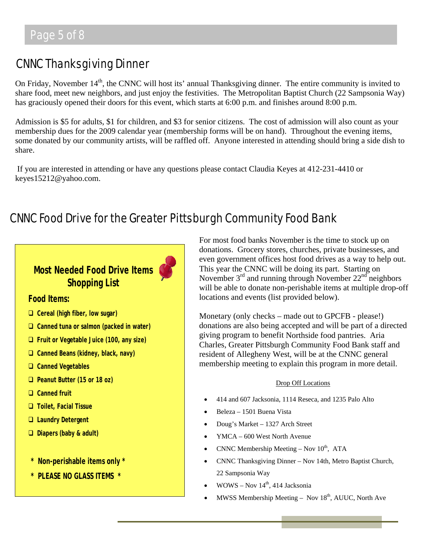# CNNC Thanksgiving Dinner

On Friday, November  $14<sup>th</sup>$ , the CNNC will host its' annual Thanksgiving dinner. The entire community is invited to share food, meet new neighbors, and just enjoy the festivities. The Metropolitan Baptist Church (22 Sampsonia Way) has graciously opened their doors for this event, which starts at 6:00 p.m. and finishes around 8:00 p.m.

Admission is \$5 for adults, \$1 for children, and \$3 for senior citizens. The cost of admission will also count as your membership dues for the 2009 calendar year (membership forms will be on hand). Throughout the evening items, some donated by our community artists, will be raffled off. Anyone interested in attending should bring a side dish to share.

 If you are interested in attending or have any questions please contact Claudia Keyes at 412-231-4410 or keyes15212@yahoo.com.

# CNNC Food Drive for the Greater Pittsburgh Community Food Bank



For most food banks November is the time to stock up on donations. Grocery stores, churches, private businesses, and even government offices host food drives as a way to help out. This year the CNNC will be doing its part. Starting on November  $3<sup>rd</sup>$  and running through November  $22<sup>nd</sup>$  neighbors will be able to donate non-perishable items at multiple drop-off locations and events (list provided below).

Monetary (only checks – made out to GPCFB - please!) donations are also being accepted and will be part of a directed giving program to benefit Northside food pantries. Aria Charles, Greater Pittsburgh Community Food Bank staff and resident of Allegheny West, will be at the CNNC general membership meeting to explain this program in more detail.

#### Drop Off Locations

- 414 and 607 Jacksonia, 1114 Reseca, and 1235 Palo Alto
- Beleza 1501 Buena Vista
- Doug's Market 1327 Arch Street
- YMCA 600 West North Avenue
- CNNC Membership Meeting Nov  $10^{th}$ , ATA
- CNNC Thanksgiving Dinner Nov 14th, Metro Baptist Church, 22 Sampsonia Way
- WOWS Nov  $14<sup>th</sup>$ , 414 Jacksonia
- MWSS Membership Meeting Nov  $18<sup>th</sup>$ , AUUC, North Ave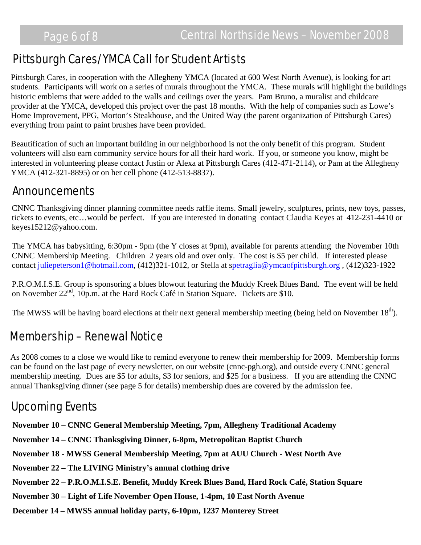# Pittsburgh Cares/YMCA Call for Student Artists

Pittsburgh Cares, in cooperation with the Allegheny YMCA (located at 600 West North Avenue), is looking for art students. Participants will work on a series of murals throughout the YMCA. These murals will highlight the buildings historic emblems that were added to the walls and ceilings over the years. Pam Bruno, a muralist and childcare provider at the YMCA, developed this project over the past 18 months. With the help of companies such as Lowe's Home Improvement, PPG, Morton's Steakhouse, and the United Way (the parent organization of Pittsburgh Cares) everything from paint to paint brushes have been provided.

Beautification of such an important building in our neighborhood is not the only benefit of this program. Student volunteers will also earn community service hours for all their hard work. If you, or someone you know, might be interested in volunteering please contact Justin or Alexa at Pittsburgh Cares (412-471-2114), or Pam at the Allegheny YMCA (412-321-8895) or on her cell phone (412-513-8837).

### Announcements

CNNC Thanksgiving dinner planning committee needs raffle items. Small jewelry, sculptures, prints, new toys, passes, tickets to events, etc…would be perfect. If you are interested in donating contact Claudia Keyes at 412-231-4410 or keyes15212@yahoo.com.

The YMCA has babysitting, 6:30pm - 9pm (the Y closes at 9pm), available for parents attending the November 10th CNNC Membership Meeting. Children 2 years old and over only. The cost is \$5 per child. If interested please contact [juliepeterson1@hotmail.com](http://us.mc454.mail.yahoo.com/mc/compose?to=juliepeterson1@hotmail.com), (412)321-1012, or Stella at s[petraglia@ymcaofpittsburgh.org](http://us.mc454.mail.yahoo.com/mc/compose?to=spetraglia@ymcaofpittsburgh.org) , (412)323-1922

P.R.O.M.I.S.E. Group is sponsoring a blues blowout featuring the Muddy Kreek Blues Band. The event will be held on November 22<sup>nd</sup>, 10p.m. at the Hard Rock Café in Station Square. Tickets are \$10.

The MWSS will be having board elections at their next general membership meeting (being held on November  $18<sup>th</sup>$ ).

### Membership – Renewal Notice

As 2008 comes to a close we would like to remind everyone to renew their membership for 2009. Membership forms can be found on the last page of every newsletter, on our website (cnnc-pgh.org), and outside every CNNC general membership meeting. Dues are \$5 for adults, \$3 for seniors, and \$25 for a business. If you are attending the CNNC annual Thanksgiving dinner (see page 5 for details) membership dues are covered by the admission fee.

# Upcoming Events

**November 10 – CNNC General Membership Meeting, 7pm, Allegheny Traditional Academy**

**November 14 – CNNC Thanksgiving Dinner, 6-8pm, Metropolitan Baptist Church** 

**November 18 - MWSS General Membership Meeting, 7pm at AUU Church - West North Ave** 

**November 22 – The LIVING Ministry's annual clothing drive** 

**November 22 – P.R.O.M.I.S.E. Benefit, Muddy Kreek Blues Band, Hard Rock Café, Station Square** 

**November 30 – Light of Life November Open House, 1-4pm, 10 East North Avenue** 

**December 14 – MWSS annual holiday party, 6-10pm, 1237 Monterey Street**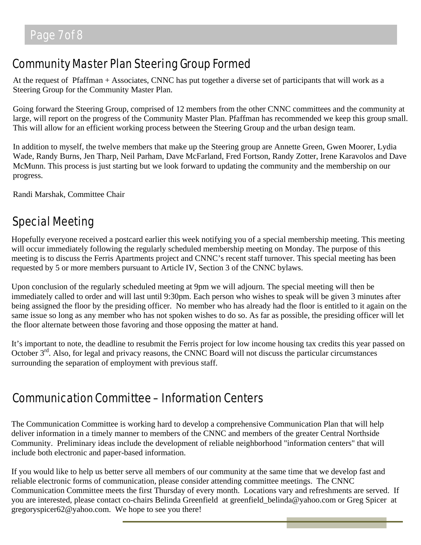## Community Master Plan Steering Group Formed

At the request of Pfaffman + Associates, CNNC has put together a diverse set of participants that will work as a Steering Group for the Community Master Plan.

Going forward the Steering Group, comprised of 12 members from the other CNNC committees and the community at large, will report on the progress of the Community Master Plan. Pfaffman has recommended we keep this group small. This will allow for an efficient working process between the Steering Group and the urban design team.

In addition to myself, the twelve members that make up the Steering group are Annette Green, Gwen Moorer, Lydia Wade, Randy Burns, Jen Tharp, Neil Parham, Dave McFarland, Fred Fortson, Randy Zotter, Irene Karavolos and Dave McMunn. This process is just starting but we look forward to updating the community and the membership on our progress.

Randi Marshak, Committee Chair

# Special Meeting

Hopefully everyone received a postcard earlier this week notifying you of a special membership meeting. This meeting will occur immediately following the regularly scheduled membership meeting on Monday. The purpose of this meeting is to discuss the Ferris Apartments project and CNNC's recent staff turnover. This special meeting has been requested by 5 or more members pursuant to Article IV, Section 3 of the CNNC bylaws.

Upon conclusion of the regularly scheduled meeting at 9pm we will adjourn. The special meeting will then be immediately called to order and will last until 9:30pm. Each person who wishes to speak will be given 3 minutes after being assigned the floor by the presiding officer. No member who has already had the floor is entitled to it again on the same issue so long as any member who has not spoken wishes to do so. As far as possible, the presiding officer will let the floor alternate between those favoring and those opposing the matter at hand.

It's important to note, the deadline to resubmit the Ferris project for low income housing tax credits this year passed on October  $3<sup>rd</sup>$ . Also, for legal and privacy reasons, the CNNC Board will not discuss the particular circumstances surrounding the separation of employment with previous staff.

### Communication Committee – Information Centers

The Communication Committee is working hard to develop a comprehensive Communication Plan that will help deliver information in a timely manner to members of the CNNC and members of the greater Central Northside Community. Preliminary ideas include the development of reliable neighborhood "information centers" that will include both electronic and paper-based information.

If you would like to help us better serve all members of our community at the same time that we develop fast and reliable electronic forms of communication, please consider attending committee meetings. The CNNC Communication Committee meets the first Thursday of every month. Locations vary and refreshments are served. If you are interested, please contact co-chairs Belinda Greenfield at greenfield\_belinda@yahoo.com or Greg Spicer at gregoryspicer62@yahoo.com. We hope to see you there!